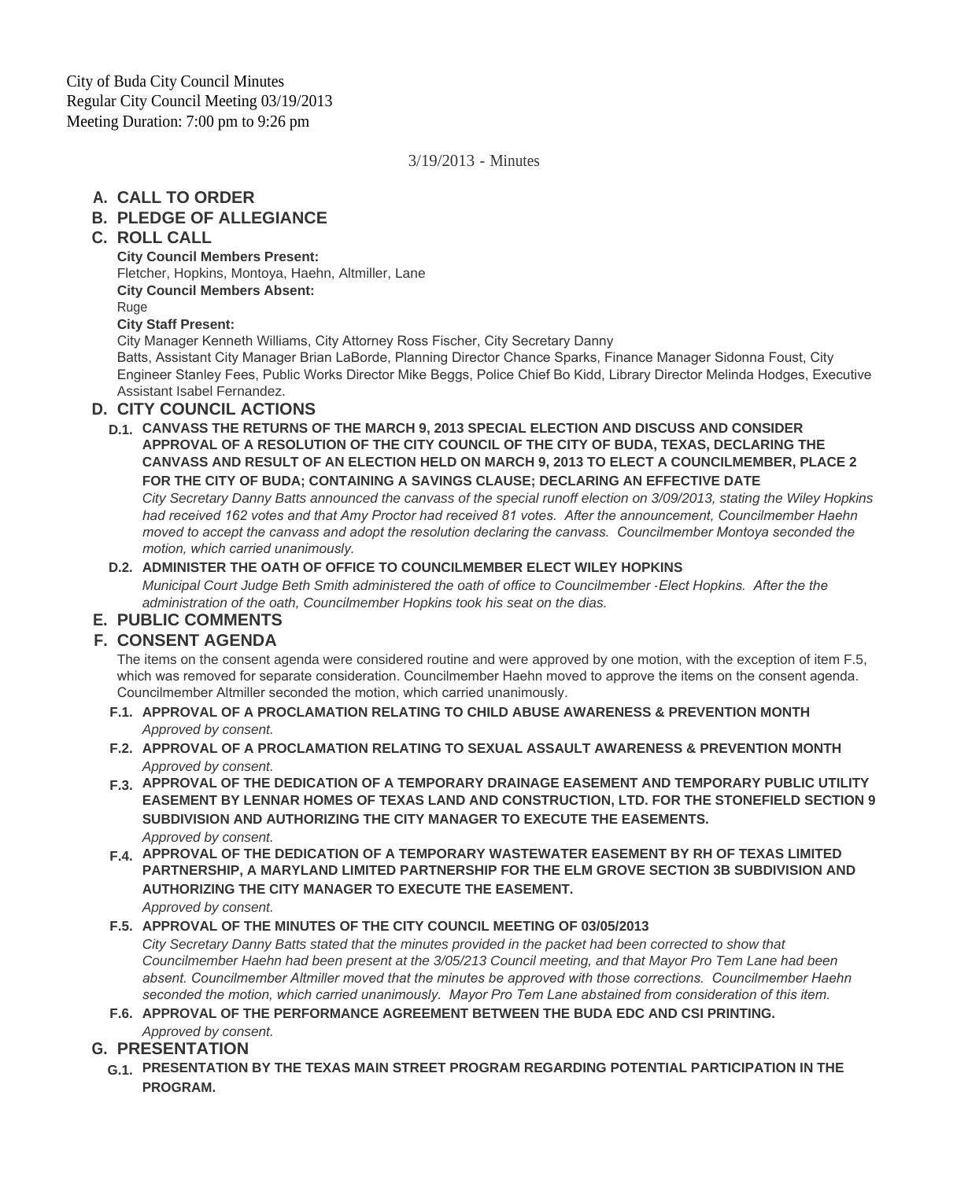## 3/19/2013 - Minutes

# **CALL TO ORDER A.**

# **PLEDGE OF ALLEGIANCE B.**

## **ROLL CALL C.**

**City Council Members Present:** Fletcher, Hopkins, Montoya, Haehn, Altmiller, Lane **City Council Members Absent:** Ruge **City Staff Present:** City Manager Kenneth Williams, City Attorney Ross Fischer, City Secretary Danny

Batts, Assistant City Manager Brian LaBorde, Planning Director Chance Sparks, Finance Manager Sidonna Foust, City Engineer Stanley Fees, Public Works Director Mike Beggs, Police Chief Bo Kidd, Library Director Melinda Hodges, Executive Assistant Isabel Fernandez.

#### **CITY COUNCIL ACTIONS D.**

**CANVASS THE RETURNS OF THE MARCH 9, 2013 SPECIAL ELECTION AND DISCUSS AND CONSIDER D.1. APPROVAL OF A RESOLUTION OF THE CITY COUNCIL OF THE CITY OF BUDA, TEXAS, DECLARING THE CANVASS AND RESULT OF AN ELECTION HELD ON MARCH 9, 2013 TO ELECT A COUNCILMEMBER, PLACE 2 FOR THE CITY OF BUDA; CONTAINING A SAVINGS CLAUSE; DECLARING AN EFFECTIVE DATE**

*City Secretary Danny Batts announced the canvass of the special runoff election on 3/09/2013, stating the Wiley Hopkins had received 162 votes and that Amy Proctor had received 81 votes. After the announcement, Councilmember Haehn moved to accept the canvass and adopt the resolution declaring the canvass. Councilmember Montoya seconded the motion, which carried unanimously.* 

#### **ADMINISTER THE OATH OF OFFICE TO COUNCILMEMBER ELECT WILEY HOPKINS D.2.**

*Municipal Court Judge Beth Smith administered the oath of office to Councilmember -Elect Hopkins. After the the administration of the oath, Councilmember Hopkins took his seat on the dias.*

## **PUBLIC COMMENTS E.**

# **CONSENT AGENDA F.**

The items on the consent agenda were considered routine and were approved by one motion, with the exception of item F.5, which was removed for separate consideration. Councilmember Haehn moved to approve the items on the consent agenda. Councilmember Altmiller seconded the motion, which carried unanimously.

- **APPROVAL OF A PROCLAMATION RELATING TO CHILD ABUSE AWARENESS & PREVENTION MONTH F.1.** *Approved by consent.*
- **APPROVAL OF A PROCLAMATION RELATING TO SEXUAL ASSAULT AWARENESS & PREVENTION MONTH F.2.** *Approved by consent.*
- **APPROVAL OF THE DEDICATION OF A TEMPORARY DRAINAGE EASEMENT AND TEMPORARY PUBLIC UTILITY F.3. EASEMENT BY LENNAR HOMES OF TEXAS LAND AND CONSTRUCTION, LTD. FOR THE STONEFIELD SECTION 9 SUBDIVISION AND AUTHORIZING THE CITY MANAGER TO EXECUTE THE EASEMENTS.** *Approved by consent.*
- **APPROVAL OF THE DEDICATION OF A TEMPORARY WASTEWATER EASEMENT BY RH OF TEXAS LIMITED F.4. PARTNERSHIP, A MARYLAND LIMITED PARTNERSHIP FOR THE ELM GROVE SECTION 3B SUBDIVISION AND AUTHORIZING THE CITY MANAGER TO EXECUTE THE EASEMENT.** *Approved by consent.*

#### **APPROVAL OF THE MINUTES OF THE CITY COUNCIL MEETING OF 03/05/2013 F.5.**

*City Secretary Danny Batts stated that the minutes provided in the packet had been corrected to show that Councilmember Haehn had been present at the 3/05/213 Council meeting, and that Mayor Pro Tem Lane had been absent. Councilmember Altmiller moved that the minutes be approved with those corrections. Councilmember Haehn*  seconded the motion, which carried unanimously. Mayor Pro Tem Lane abstained from consideration of this item.

**APPROVAL OF THE PERFORMANCE AGREEMENT BETWEEN THE BUDA EDC AND CSI PRINTING. F.6.** *Approved by consent.*

## **PRESENTATION G.**

**PRESENTATION BY THE TEXAS MAIN STREET PROGRAM REGARDING POTENTIAL PARTICIPATION IN THE G.1. PROGRAM.**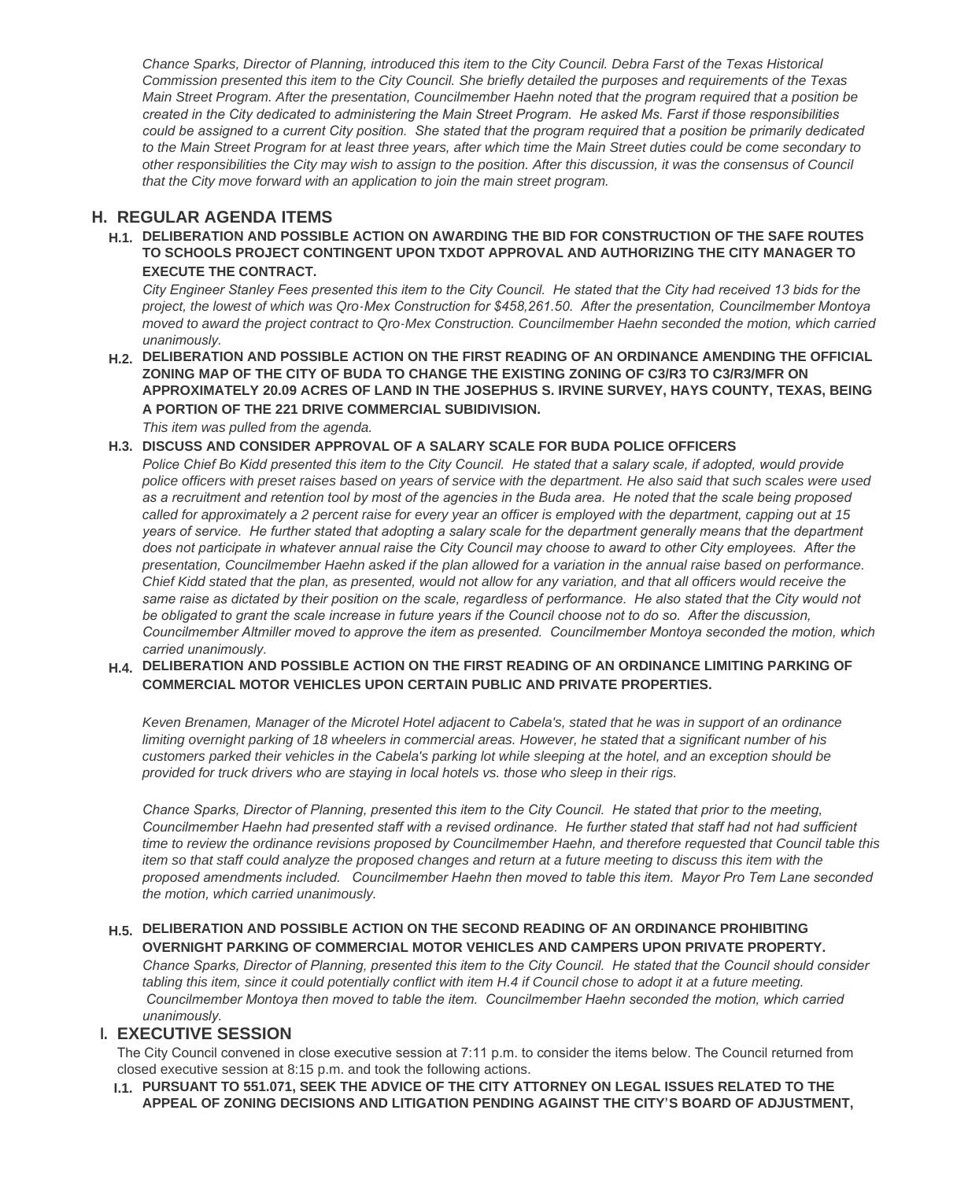*Chance Sparks, Director of Planning, introduced this item to the City Council. Debra Farst of the Texas Historical Commission presented this item to the City Council. She briefly detailed the purposes and requirements of the Texas Main Street Program. After the presentation, Councilmember Haehn noted that the program required that a position be created in the City dedicated to administering the Main Street Program. He asked Ms. Farst if those responsibilities could be assigned to a current City position. She stated that the program required that a position be primarily dedicated to the Main Street Program for at least three years, after which time the Main Street duties could be come secondary to other responsibilities the City may wish to assign to the position. After this discussion, it was the consensus of Council that the City move forward with an application to join the main street program.*

#### **REGULAR AGENDA ITEMS H.**

**DELIBERATION AND POSSIBLE ACTION ON AWARDING THE BID FOR CONSTRUCTION OF THE SAFE ROUTES H.1. TO SCHOOLS PROJECT CONTINGENT UPON TXDOT APPROVAL AND AUTHORIZING THE CITY MANAGER TO EXECUTE THE CONTRACT.**

*City Engineer Stanley Fees presented this item to the City Council. He stated that the City had received 13 bids for the project, the lowest of which was Qro-Mex Construction for \$458,261.50. After the presentation, Councilmember Montoya moved to award the project contract to Qro-Mex Construction. Councilmember Haehn seconded the motion, which carried unanimously.* 

**DELIBERATION AND POSSIBLE ACTION ON THE FIRST READING OF AN ORDINANCE AMENDING THE OFFICIAL H.2. ZONING MAP OF THE CITY OF BUDA TO CHANGE THE EXISTING ZONING OF C3/R3 TO C3/R3/MFR ON APPROXIMATELY 20.09 ACRES OF LAND IN THE JOSEPHUS S. IRVINE SURVEY, HAYS COUNTY, TEXAS, BEING A PORTION OF THE 221 DRIVE COMMERCIAL SUBIDIVISION.**

*This item was pulled from the agenda.*

**DISCUSS AND CONSIDER APPROVAL OF A SALARY SCALE FOR BUDA POLICE OFFICERS H.3.**

Police Chief Bo Kidd presented this item to the City Council. He stated that a salary scale, if adopted, would provide *police officers with preset raises based on years of service with the department. He also said that such scales were used as a recruitment and retention tool by most of the agencies in the Buda area. He noted that the scale being proposed called for approximately a 2 percent raise for every year an officer is employed with the department, capping out at 15 years of service. He further stated that adopting a salary scale for the department generally means that the department does not participate in whatever annual raise the City Council may choose to award to other City employees. After the presentation, Councilmember Haehn asked if the plan allowed for a variation in the annual raise based on performance. Chief Kidd stated that the plan, as presented, would not allow for any variation, and that all officers would receive the same raise as dictated by their position on the scale, regardless of performance. He also stated that the City would not*  be obligated to grant the scale increase in future years if the Council choose not to do so. After the discussion, *Councilmember Altmiller moved to approve the item as presented. Councilmember Montoya seconded the motion, which carried unanimously.* 

**DELIBERATION AND POSSIBLE ACTION ON THE FIRST READING OF AN ORDINANCE LIMITING PARKING OF H.4. COMMERCIAL MOTOR VEHICLES UPON CERTAIN PUBLIC AND PRIVATE PROPERTIES.**

*Keven Brenamen, Manager of the Microtel Hotel adjacent to Cabela's, stated that he was in support of an ordinance limiting overnight parking of 18 wheelers in commercial areas. However, he stated that a significant number of his customers parked their vehicles in the Cabela's parking lot while sleeping at the hotel, and an exception should be provided for truck drivers who are staying in local hotels vs. those who sleep in their rigs.*

*Chance Sparks, Director of Planning, presented this item to the City Council. He stated that prior to the meeting, Councilmember Haehn had presented staff with a revised ordinance. He further stated that staff had not had sufficient time to review the ordinance revisions proposed by Councilmember Haehn, and therefore requested that Council table this item so that staff could analyze the proposed changes and return at a future meeting to discuss this item with the proposed amendments included. Councilmember Haehn then moved to table this item. Mayor Pro Tem Lane seconded the motion, which carried unanimously.*

#### **DELIBERATION AND POSSIBLE ACTION ON THE SECOND READING OF AN ORDINANCE PROHIBITING H.5. OVERNIGHT PARKING OF COMMERCIAL MOTOR VEHICLES AND CAMPERS UPON PRIVATE PROPERTY.**

*Chance Sparks, Director of Planning, presented this item to the City Council. He stated that the Council should consider*  tabling this item, since it could potentially conflict with item H.4 if Council chose to adopt it at a future meeting.  *Councilmember Montoya then moved to table the item. Councilmember Haehn seconded the motion, which carried unanimously.* 

#### **EXECUTIVE SESSION I.**

The City Council convened in close executive session at 7:11 p.m. to consider the items below. The Council returned from closed executive session at 8:15 p.m. and took the following actions.

**PURSUANT TO 551.071, SEEK THE ADVICE OF THE CITY ATTORNEY ON LEGAL ISSUES RELATED TO THE I.1. APPEAL OF ZONING DECISIONS AND LITIGATION PENDING AGAINST THE CITY'S BOARD OF ADJUSTMENT,**